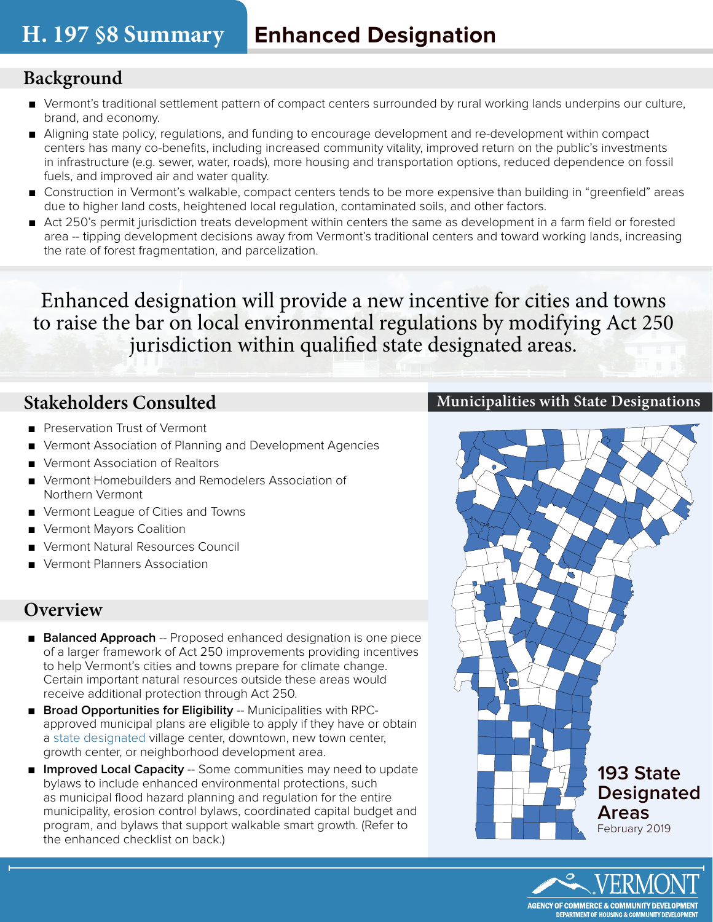## **Background**

- Vermont's traditional settlement pattern of compact centers surrounded by rural working lands underpins our culture, brand, and economy.
- Aligning state policy, regulations, and funding to encourage development and re-development within compact centers has many co-benefits, including increased community vitality, improved return on the public's investments in infrastructure (e.g. sewer, water, roads), more housing and transportation options, reduced dependence on fossil fuels, and improved air and water quality.
- Construction in Vermont's walkable, compact centers tends to be more expensive than building in "greenfield" areas due to higher land costs, heightened local regulation, contaminated soils, and other factors.
- Act 250's permit jurisdiction treats development within centers the same as development in a farm field or forested area -- tipping development decisions away from Vermont's traditional centers and toward working lands, increasing the rate of forest fragmentation, and parcelization.

Enhanced designation will provide a new incentive for cities and towns to raise the bar on local environmental regulations by modifying Act 250 jurisdiction within qualified state designated areas.

# **Stakeholders Consulted**

- Preservation Trust of Vermont
- Vermont Association of Planning and Development Agencies
- **Vermont Association of Realtors**
- Vermont Homebuilders and Remodelers Association of Northern Vermont
- Vermont League of Cities and Towns
- Vermont Mayors Coalition
- **Vermont Natural Resources Council**
- Vermont Planners Association

### **Overview**

- **Balanced Approach** -- Proposed enhanced designation is one piece of a larger framework of Act 250 improvements providing incentives to help Vermont's cities and towns prepare for climate change. Certain important natural resources outside these areas would receive additional protection through Act 250.
- **Broad Opportunities for Eligibility** -- Municipalities with RPCapproved municipal plans are eligible to apply if they have or obtain a state designated village center, downtown, new town center, growth center, or neighborhood development area.
- **Improved Local Capacity** -- Some communities may need to update bylaws to include enhanced environmental protections, such as municipal flood hazard planning and regulation for the entire municipality, erosion control bylaws, coordinated capital budget and program, and bylaws that support walkable smart growth. (Refer to the enhanced checklist on back.)

#### **Municipalities with State Designations**